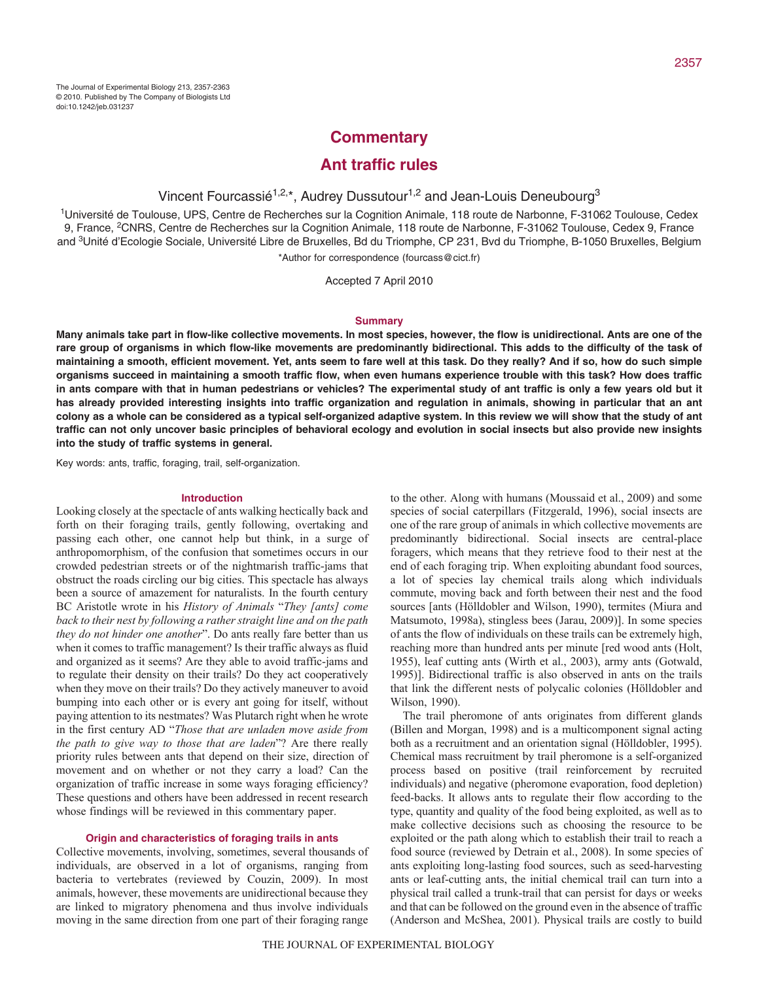# **Commentary**

# **Ant traffic rules**

# Vincent Fourcassié<sup>1,2,\*</sup>, Audrey Dussutour<sup>1,2</sup> and Jean-Louis Deneubourg<sup>3</sup>

1Université de Toulouse, UPS, Centre de Recherches sur la Cognition Animale, 118 route de Narbonne, F-31062 Toulouse, Cedex 9, France, <sup>2</sup>CNRS, Centre de Recherches sur la Cognition Animale, 118 route de Narbonne, F-31062 Toulouse, Cedex 9, France and <sup>3</sup>Unité d'Ecologie Sociale, Université Libre de Bruxelles, Bd du Triomphe, CP 231, Bvd du Triomphe, B-1050 Bruxelles, Belgium \*Author for correspondence (fourcass@cict.fr)

Accepted 7 April 2010

#### **Summary**

**Many animals take part in flow-like collective movements. In most species, however, the flow is unidirectional. Ants are one of the rare group of organisms in which flow-like movements are predominantly bidirectional. This adds to the difficulty of the task of maintaining a smooth, efficient movement. Yet, ants seem to fare well at this task. Do they really? And if so, how do such simple organisms succeed in maintaining a smooth traffic flow, when even humans experience trouble with this task? How does traffic in ants compare with that in human pedestrians or vehicles? The experimental study of ant traffic is only a few years old but it has already provided interesting insights into traffic organization and regulation in animals, showing in particular that an ant colony as a whole can be considered as a typical self-organized adaptive system. In this review we will show that the study of ant traffic can not only uncover basic principles of behavioral ecology and evolution in social insects but also provide new insights into the study of traffic systems in general.**

Key words: ants, traffic, foraging, trail, self-organization.

### **Introduction**

Looking closely at the spectacle of ants walking hectically back and forth on their foraging trails, gently following, overtaking and passing each other, one cannot help but think, in a surge of anthropomorphism, of the confusion that sometimes occurs in our crowded pedestrian streets or of the nightmarish traffic-jams that obstruct the roads circling our big cities. This spectacle has always been a source of amazement for naturalists. In the fourth century BC Aristotle wrote in his *History of Animals* "*They [ants] come back to their nest by following a rather straight line and on the path they do not hinder one another*". Do ants really fare better than us when it comes to traffic management? Is their traffic always as fluid and organized as it seems? Are they able to avoid traffic-jams and to regulate their density on their trails? Do they act cooperatively when they move on their trails? Do they actively maneuver to avoid bumping into each other or is every ant going for itself, without paying attention to its nestmates? Was Plutarch right when he wrote in the first century AD "*Those that are unladen move aside from the path to give way to those that are laden*"? Are there really priority rules between ants that depend on their size, direction of movement and on whether or not they carry a load? Can the organization of traffic increase in some ways foraging efficiency? These questions and others have been addressed in recent research whose findings will be reviewed in this commentary paper.

# **Origin and characteristics of foraging trails in ants**

Collective movements, involving, sometimes, several thousands of individuals, are observed in a lot of organisms, ranging from bacteria to vertebrates (reviewed by Couzin, 2009). In most animals, however, these movements are unidirectional because they are linked to migratory phenomena and thus involve individuals moving in the same direction from one part of their foraging range

to the other. Along with humans (Moussaid et al., 2009) and some species of social caterpillars (Fitzgerald, 1996), social insects are one of the rare group of animals in which collective movements are predominantly bidirectional. Social insects are central-place foragers, which means that they retrieve food to their nest at the end of each foraging trip. When exploiting abundant food sources, a lot of species lay chemical trails along which individuals commute, moving back and forth between their nest and the food sources [ants (Hölldobler and Wilson, 1990), termites (Miura and Matsumoto, 1998a), stingless bees (Jarau, 2009)]. In some species of ants the flow of individuals on these trails can be extremely high, reaching more than hundred ants per minute [red wood ants (Holt, 1955), leaf cutting ants (Wirth et al., 2003), army ants (Gotwald, 1995)]. Bidirectional traffic is also observed in ants on the trails that link the different nests of polycalic colonies (Hölldobler and Wilson, 1990).

The trail pheromone of ants originates from different glands (Billen and Morgan, 1998) and is a multicomponent signal acting both as a recruitment and an orientation signal (Hölldobler, 1995). Chemical mass recruitment by trail pheromone is a self-organized process based on positive (trail reinforcement by recruited individuals) and negative (pheromone evaporation, food depletion) feed-backs. It allows ants to regulate their flow according to the type, quantity and quality of the food being exploited, as well as to make collective decisions such as choosing the resource to be exploited or the path along which to establish their trail to reach a food source (reviewed by Detrain et al., 2008). In some species of ants exploiting long-lasting food sources, such as seed-harvesting ants or leaf-cutting ants, the initial chemical trail can turn into a physical trail called a trunk-trail that can persist for days or weeks and that can be followed on the ground even in the absence of traffic (Anderson and McShea, 2001). Physical trails are costly to build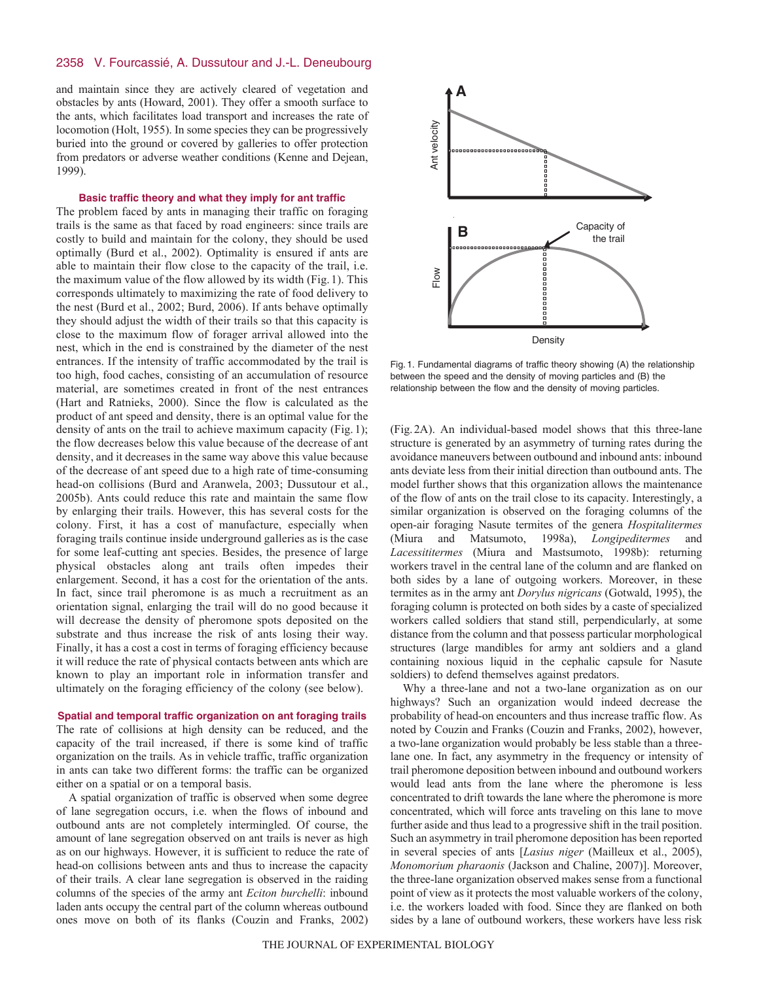## 2358 V. Fourcassié, A. Dussutour and J.-L. Deneubourg

and maintain since they are actively cleared of vegetation and obstacles by ants (Howard, 2001). They offer a smooth surface to the ants, which facilitates load transport and increases the rate of locomotion (Holt, 1955). In some species they can be progressively buried into the ground or covered by galleries to offer protection from predators or adverse weather conditions (Kenne and Dejean, 1999).

#### **Basic traffic theory and what they imply for ant traffic**

The problem faced by ants in managing their traffic on foraging trails is the same as that faced by road engineers: since trails are costly to build and maintain for the colony, they should be used optimally (Burd et al., 2002). Optimality is ensured if ants are able to maintain their flow close to the capacity of the trail, i.e. the maximum value of the flow allowed by its width (Fig. 1). This corresponds ultimately to maximizing the rate of food delivery to the nest (Burd et al., 2002; Burd, 2006). If ants behave optimally they should adjust the width of their trails so that this capacity is close to the maximum flow of forager arrival allowed into the nest, which in the end is constrained by the diameter of the nest entrances. If the intensity of traffic accommodated by the trail is too high, food caches, consisting of an accumulation of resource material, are sometimes created in front of the nest entrances (Hart and Ratnieks, 2000). Since the flow is calculated as the product of ant speed and density, there is an optimal value for the density of ants on the trail to achieve maximum capacity (Fig. 1); the flow decreases below this value because of the decrease of ant density, and it decreases in the same way above this value because of the decrease of ant speed due to a high rate of time-consuming head-on collisions (Burd and Aranwela, 2003; Dussutour et al., 2005b). Ants could reduce this rate and maintain the same flow by enlarging their trails. However, this has several costs for the colony. First, it has a cost of manufacture, especially when foraging trails continue inside underground galleries as is the case for some leaf-cutting ant species. Besides, the presence of large physical obstacles along ant trails often impedes their enlargement. Second, it has a cost for the orientation of the ants. In fact, since trail pheromone is as much a recruitment as an orientation signal, enlarging the trail will do no good because it will decrease the density of pheromone spots deposited on the substrate and thus increase the risk of ants losing their way. Finally, it has a cost a cost in terms of foraging efficiency because it will reduce the rate of physical contacts between ants which are known to play an important role in information transfer and ultimately on the foraging efficiency of the colony (see below).

### **Spatial and temporal traffic organization on ant foraging trails**

The rate of collisions at high density can be reduced, and the capacity of the trail increased, if there is some kind of traffic organization on the trails. As in vehicle traffic, traffic organization in ants can take two different forms: the traffic can be organized either on a spatial or on a temporal basis.

A spatial organization of traffic is observed when some degree of lane segregation occurs, i.e. when the flows of inbound and outbound ants are not completely intermingled. Of course, the amount of lane segregation observed on ant trails is never as high as on our highways. However, it is sufficient to reduce the rate of head-on collisions between ants and thus to increase the capacity of their trails. A clear lane segregation is observed in the raiding columns of the species of the army ant *Eciton burchelli*: inbound laden ants occupy the central part of the column whereas outbound ones move on both of its flanks (Couzin and Franks, 2002)



Fig. 1. Fundamental diagrams of traffic theory showing (A) the relationship between the speed and the density of moving particles and (B) the relationship between the flow and the density of moving particles.

(Fig.2A). An individual-based model shows that this three-lane structure is generated by an asymmetry of turning rates during the avoidance maneuvers between outbound and inbound ants: inbound ants deviate less from their initial direction than outbound ants. The model further shows that this organization allows the maintenance of the flow of ants on the trail close to its capacity. Interestingly, a similar organization is observed on the foraging columns of the open-air foraging Nasute termites of the genera *Hospitalitermes* (Miura and Matsumoto, 1998a), *Longipeditermes* and *Lacessititermes* (Miura and Mastsumoto, 1998b): returning workers travel in the central lane of the column and are flanked on both sides by a lane of outgoing workers. Moreover, in these termites as in the army ant *Dorylus nigricans* (Gotwald, 1995), the foraging column is protected on both sides by a caste of specialized workers called soldiers that stand still, perpendicularly, at some distance from the column and that possess particular morphological structures (large mandibles for army ant soldiers and a gland containing noxious liquid in the cephalic capsule for Nasute soldiers) to defend themselves against predators.

Why a three-lane and not a two-lane organization as on our highways? Such an organization would indeed decrease the probability of head-on encounters and thus increase traffic flow. As noted by Couzin and Franks (Couzin and Franks, 2002), however, a two-lane organization would probably be less stable than a threelane one. In fact, any asymmetry in the frequency or intensity of trail pheromone deposition between inbound and outbound workers would lead ants from the lane where the pheromone is less concentrated to drift towards the lane where the pheromone is more concentrated, which will force ants traveling on this lane to move further aside and thus lead to a progressive shift in the trail position. Such an asymmetry in trail pheromone deposition has been reported in several species of ants [*Lasius niger* (Mailleux et al., 2005), *Monomorium pharaonis* (Jackson and Chaline, 2007)]. Moreover, the three-lane organization observed makes sense from a functional point of view as it protects the most valuable workers of the colony, i.e. the workers loaded with food. Since they are flanked on both sides by a lane of outbound workers, these workers have less risk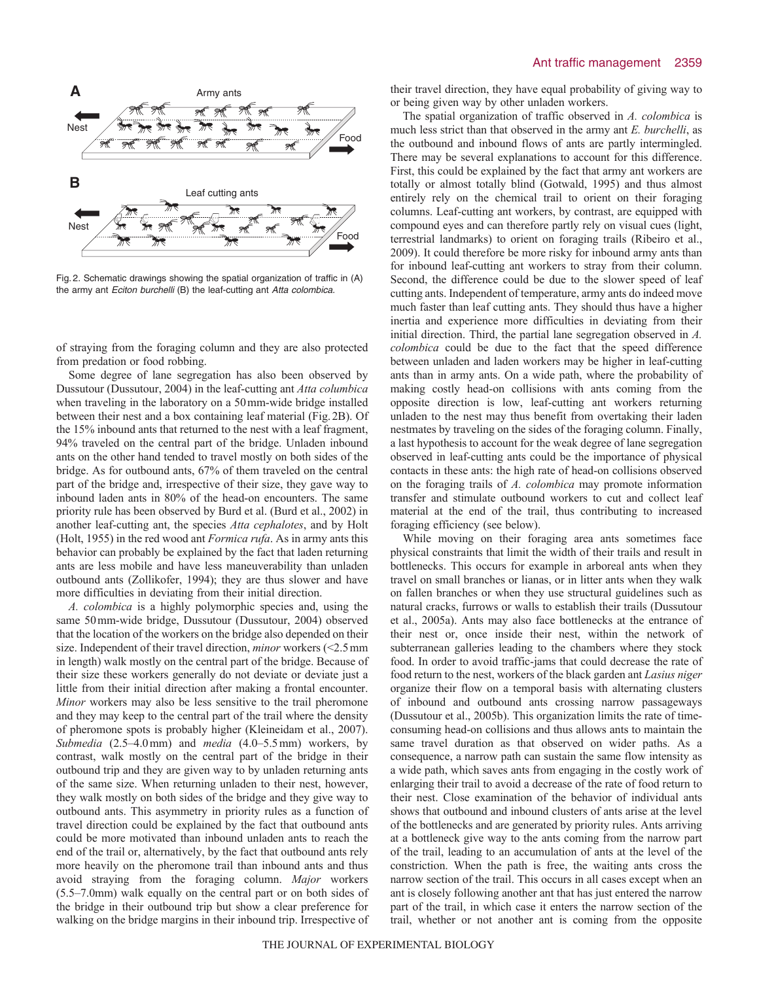

Fig. 2. Schematic drawings showing the spatial organization of traffic in (A) the army ant Eciton burchelli (B) the leaf-cutting ant Atta colombica.

of straying from the foraging column and they are also protected from predation or food robbing.

Some degree of lane segregation has also been observed by Dussutour (Dussutour, 2004) in the leaf-cutting ant *Atta columbica* when traveling in the laboratory on a 50mm-wide bridge installed between their nest and a box containing leaf material (Fig.2B). Of the 15% inbound ants that returned to the nest with a leaf fragment, 94% traveled on the central part of the bridge. Unladen inbound ants on the other hand tended to travel mostly on both sides of the bridge. As for outbound ants, 67% of them traveled on the central part of the bridge and, irrespective of their size, they gave way to inbound laden ants in 80% of the head-on encounters. The same priority rule has been observed by Burd et al. (Burd et al., 2002) in another leaf-cutting ant, the species *Atta cephalotes*, and by Holt (Holt, 1955) in the red wood ant *Formica rufa*. As in army ants this behavior can probably be explained by the fact that laden returning ants are less mobile and have less maneuverability than unladen outbound ants (Zollikofer, 1994); they are thus slower and have more difficulties in deviating from their initial direction.

*A. colombica* is a highly polymorphic species and, using the same 50mm-wide bridge, Dussutour (Dussutour, 2004) observed that the location of the workers on the bridge also depended on their size. Independent of their travel direction, *minor* workers (<2.5mm in length) walk mostly on the central part of the bridge. Because of their size these workers generally do not deviate or deviate just a little from their initial direction after making a frontal encounter. *Minor* workers may also be less sensitive to the trail pheromone and they may keep to the central part of the trail where the density of pheromone spots is probably higher (Kleineidam et al., 2007). *Submedia* (2.5–4.0mm) and *media* (4.0–5.5mm) workers, by contrast, walk mostly on the central part of the bridge in their outbound trip and they are given way to by unladen returning ants of the same size. When returning unladen to their nest, however, they walk mostly on both sides of the bridge and they give way to outbound ants. This asymmetry in priority rules as a function of travel direction could be explained by the fact that outbound ants could be more motivated than inbound unladen ants to reach the end of the trail or, alternatively, by the fact that outbound ants rely more heavily on the pheromone trail than inbound ants and thus avoid straying from the foraging column. *Major* workers (5.5–7.0mm) walk equally on the central part or on both sides of the bridge in their outbound trip but show a clear preference for walking on the bridge margins in their inbound trip. Irrespective of

### Ant traffic management 2359

their travel direction, they have equal probability of giving way to or being given way by other unladen workers.

The spatial organization of traffic observed in *A. colombica* is much less strict than that observed in the army ant *E. burchelli*, as the outbound and inbound flows of ants are partly intermingled. There may be several explanations to account for this difference. First, this could be explained by the fact that army ant workers are totally or almost totally blind (Gotwald, 1995) and thus almost entirely rely on the chemical trail to orient on their foraging columns. Leaf-cutting ant workers, by contrast, are equipped with compound eyes and can therefore partly rely on visual cues (light, terrestrial landmarks) to orient on foraging trails (Ribeiro et al., 2009). It could therefore be more risky for inbound army ants than for inbound leaf-cutting ant workers to stray from their column. Second, the difference could be due to the slower speed of leaf cutting ants. Independent of temperature, army ants do indeed move much faster than leaf cutting ants. They should thus have a higher inertia and experience more difficulties in deviating from their initial direction. Third, the partial lane segregation observed in *A. colombica* could be due to the fact that the speed difference between unladen and laden workers may be higher in leaf-cutting ants than in army ants. On a wide path, where the probability of making costly head-on collisions with ants coming from the opposite direction is low, leaf-cutting ant workers returning unladen to the nest may thus benefit from overtaking their laden nestmates by traveling on the sides of the foraging column. Finally, a last hypothesis to account for the weak degree of lane segregation observed in leaf-cutting ants could be the importance of physical contacts in these ants: the high rate of head-on collisions observed on the foraging trails of *A. colombica* may promote information transfer and stimulate outbound workers to cut and collect leaf material at the end of the trail, thus contributing to increased foraging efficiency (see below).

While moving on their foraging area ants sometimes face physical constraints that limit the width of their trails and result in bottlenecks. This occurs for example in arboreal ants when they travel on small branches or lianas, or in litter ants when they walk on fallen branches or when they use structural guidelines such as natural cracks, furrows or walls to establish their trails (Dussutour et al., 2005a). Ants may also face bottlenecks at the entrance of their nest or, once inside their nest, within the network of subterranean galleries leading to the chambers where they stock food. In order to avoid traffic-jams that could decrease the rate of food return to the nest, workers of the black garden ant *Lasius niger* organize their flow on a temporal basis with alternating clusters of inbound and outbound ants crossing narrow passageways (Dussutour et al., 2005b). This organization limits the rate of timeconsuming head-on collisions and thus allows ants to maintain the same travel duration as that observed on wider paths. As a consequence, a narrow path can sustain the same flow intensity as a wide path, which saves ants from engaging in the costly work of enlarging their trail to avoid a decrease of the rate of food return to their nest. Close examination of the behavior of individual ants shows that outbound and inbound clusters of ants arise at the level of the bottlenecks and are generated by priority rules. Ants arriving at a bottleneck give way to the ants coming from the narrow part of the trail, leading to an accumulation of ants at the level of the constriction. When the path is free, the waiting ants cross the narrow section of the trail. This occurs in all cases except when an ant is closely following another ant that has just entered the narrow part of the trail, in which case it enters the narrow section of the trail, whether or not another ant is coming from the opposite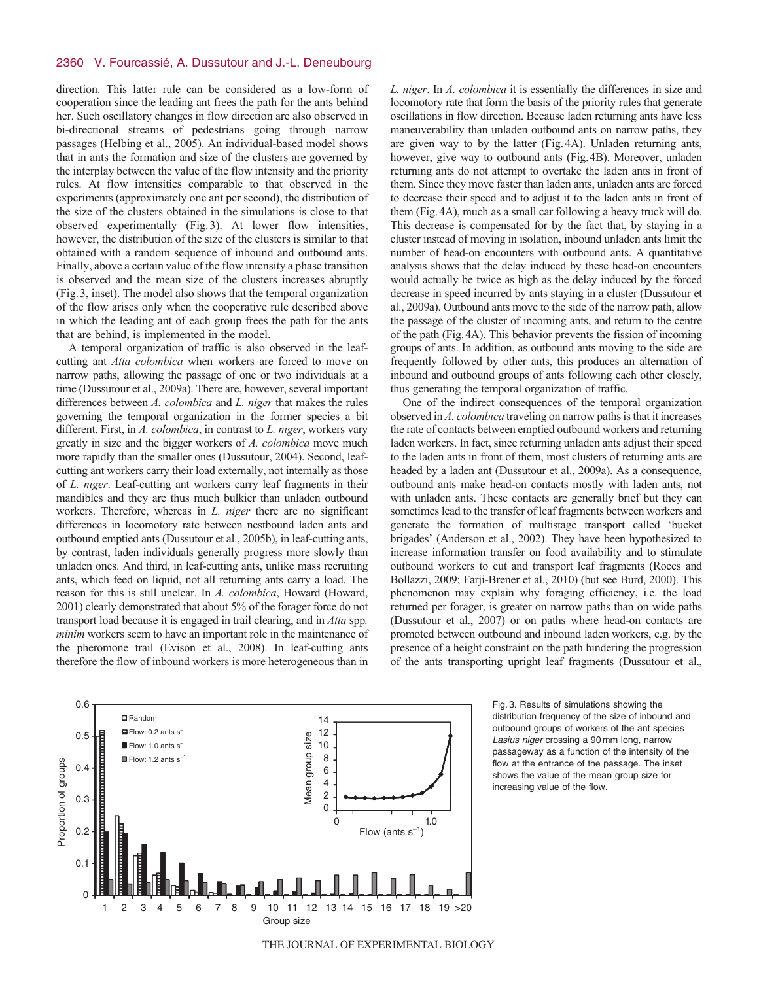## 2360 V. Fourcassié, A. Dussutour and J.-L. Deneubourg

direction. This latter rule can be considered as a low-form of cooperation since the leading ant frees the path for the ants behind her. Such oscillatory changes in flow direction are also observed in bi-directional streams of pedestrians going through narrow passages (Helbing et al., 2005). An individual-based model shows that in ants the formation and size of the clusters are governed by the interplay between the value of the flow intensity and the priority rules. At flow intensities comparable to that observed in the experiments (approximately one ant per second), the distribution of the size of the clusters obtained in the simulations is close to that observed experimentally (Fig.3). At lower flow intensities, however, the distribution of the size of the clusters is similar to that obtained with a random sequence of inbound and outbound ants. Finally, above a certain value of the flow intensity a phase transition is observed and the mean size of the clusters increases abruptly (Fig.3, inset). The model also shows that the temporal organization of the flow arises only when the cooperative rule described above in which the leading ant of each group frees the path for the ants that are behind, is implemented in the model.

A temporal organization of traffic is also observed in the leafcutting ant *Atta colombica* when workers are forced to move on narrow paths, allowing the passage of one or two individuals at a time (Dussutour et al., 2009a). There are, however, several important differences between *A. colombica* and *L. niger* that makes the rules governing the temporal organization in the former species a bit different. First, in *A. colombica*, in contrast to *L. niger*, workers vary greatly in size and the bigger workers of *A. colombica* move much more rapidly than the smaller ones (Dussutour, 2004). Second, leafcutting ant workers carry their load externally, not internally as those of *L. niger*. Leaf-cutting ant workers carry leaf fragments in their mandibles and they are thus much bulkier than unladen outbound workers. Therefore, whereas in *L. niger* there are no significant differences in locomotory rate between nestbound laden ants and outbound emptied ants (Dussutour et al., 2005b), in leaf-cutting ants, by contrast, laden individuals generally progress more slowly than unladen ones. And third, in leaf-cutting ants, unlike mass recruiting ants, which feed on liquid, not all returning ants carry a load. The reason for this is still unclear. In *A. colombica*, Howard (Howard, 2001) clearly demonstrated that about 5% of the forager force do not transport load because it is engaged in trail clearing, and in *Atta* spp*. minim* workers seem to have an important role in the maintenance of the pheromone trail (Evison et al., 2008). In leaf-cutting ants therefore the flow of inbound workers is more heterogeneous than in

*L. niger*. In *A. colombica* it is essentially the differences in size and locomotory rate that form the basis of the priority rules that generate oscillations in flow direction. Because laden returning ants have less maneuverability than unladen outbound ants on narrow paths, they are given way to by the latter (Fig.4A). Unladen returning ants, however, give way to outbound ants (Fig.4B). Moreover, unladen returning ants do not attempt to overtake the laden ants in front of them. Since they move faster than laden ants, unladen ants are forced to decrease their speed and to adjust it to the laden ants in front of them (Fig.4A), much as a small car following a heavy truck will do. This decrease is compensated for by the fact that, by staying in a cluster instead of moving in isolation, inbound unladen ants limit the number of head-on encounters with outbound ants. A quantitative analysis shows that the delay induced by these head-on encounters would actually be twice as high as the delay induced by the forced decrease in speed incurred by ants staying in a cluster (Dussutour et al., 2009a). Outbound ants move to the side of the narrow path, allow the passage of the cluster of incoming ants, and return to the centre of the path (Fig.4A). This behavior prevents the fission of incoming groups of ants. In addition, as outbound ants moving to the side are frequently followed by other ants, this produces an alternation of inbound and outbound groups of ants following each other closely, thus generating the temporal organization of traffic.

One of the indirect consequences of the temporal organization observed in *A. colombica* traveling on narrow paths is that it increases the rate of contacts between emptied outbound workers and returning laden workers. In fact, since returning unladen ants adjust their speed to the laden ants in front of them, most clusters of returning ants are headed by a laden ant (Dussutour et al., 2009a). As a consequence, outbound ants make head-on contacts mostly with laden ants, not with unladen ants. These contacts are generally brief but they can sometimes lead to the transfer of leaf fragments between workers and generate the formation of multistage transport called 'bucket brigades' (Anderson et al., 2002). They have been hypothesized to increase information transfer on food availability and to stimulate outbound workers to cut and transport leaf fragments (Roces and Bollazzi, 2009; Farji-Brener et al., 2010) (but see Burd, 2000). This phenomenon may explain why foraging efficiency, i.e. the load returned per forager, is greater on narrow paths than on wide paths (Dussutour et al., 2007) or on paths where head-on contacts are promoted between outbound and inbound laden workers, e.g. by the presence of a height constraint on the path hindering the progression of the ants transporting upright leaf fragments (Dussutour et al.,



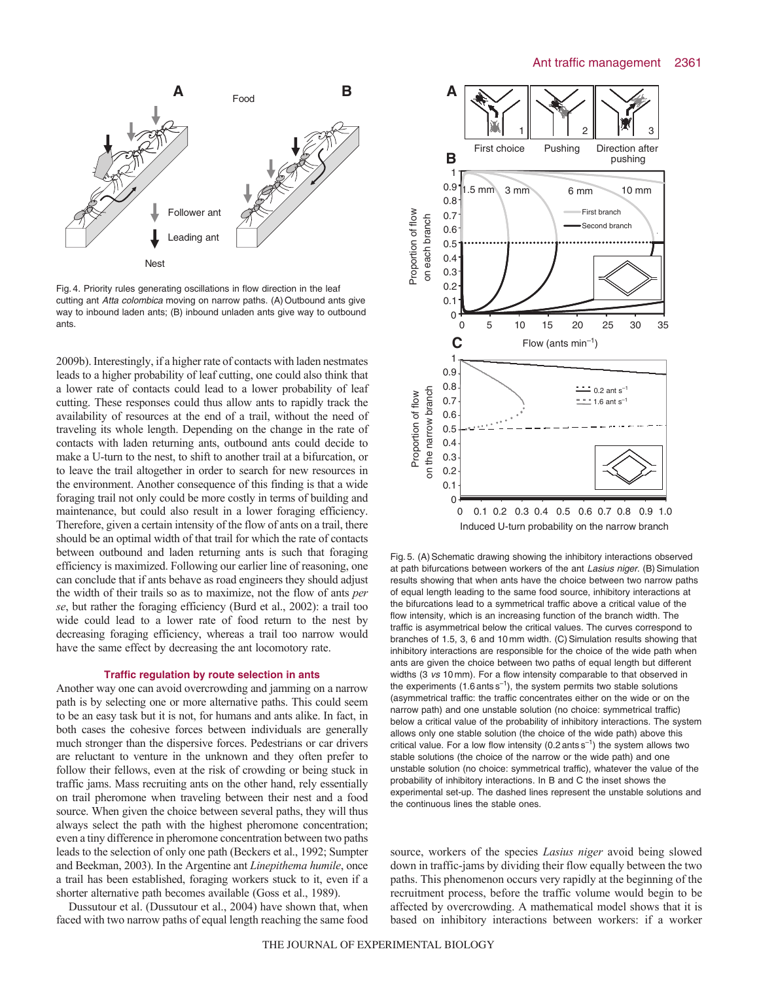

Fig. 4. Priority rules generating oscillations in flow direction in the leaf cutting ant Atta colombica moving on narrow paths. (A) Outbound ants give way to inbound laden ants; (B) inbound unladen ants give way to outbound ants.

2009b). Interestingly, if a higher rate of contacts with laden nestmates leads to a higher probability of leaf cutting, one could also think that a lower rate of contacts could lead to a lower probability of leaf cutting. These responses could thus allow ants to rapidly track the availability of resources at the end of a trail, without the need of traveling its whole length. Depending on the change in the rate of contacts with laden returning ants, outbound ants could decide to make a U-turn to the nest, to shift to another trail at a bifurcation, or to leave the trail altogether in order to search for new resources in the environment. Another consequence of this finding is that a wide foraging trail not only could be more costly in terms of building and maintenance, but could also result in a lower foraging efficiency. Therefore, given a certain intensity of the flow of ants on a trail, there should be an optimal width of that trail for which the rate of contacts between outbound and laden returning ants is such that foraging efficiency is maximized. Following our earlier line of reasoning, one can conclude that if ants behave as road engineers they should adjust the width of their trails so as to maximize, not the flow of ants *per se*, but rather the foraging efficiency (Burd et al., 2002): a trail too wide could lead to a lower rate of food return to the nest by decreasing foraging efficiency, whereas a trail too narrow would have the same effect by decreasing the ant locomotory rate.

#### **Traffic regulation by route selection in ants**

Another way one can avoid overcrowding and jamming on a narrow path is by selecting one or more alternative paths. This could seem to be an easy task but it is not, for humans and ants alike. In fact, in both cases the cohesive forces between individuals are generally much stronger than the dispersive forces. Pedestrians or car drivers are reluctant to venture in the unknown and they often prefer to follow their fellows, even at the risk of crowding or being stuck in traffic jams. Mass recruiting ants on the other hand, rely essentially on trail pheromone when traveling between their nest and a food source. When given the choice between several paths, they will thus always select the path with the highest pheromone concentration; even a tiny difference in pheromone concentration between two paths leads to the selection of only one path (Beckers et al., 1992; Sumpter and Beekman, 2003). In the Argentine ant *Linepithema humile*, once a trail has been established, foraging workers stuck to it, even if a shorter alternative path becomes available (Goss et al., 1989).

Dussutour et al. (Dussutour et al., 2004) have shown that, when faced with two narrow paths of equal length reaching the same food



Fig. 5. (A) Schematic drawing showing the inhibitory interactions observed at path bifurcations between workers of the ant Lasius niger. (B) Simulation results showing that when ants have the choice between two narrow paths of equal length leading to the same food source, inhibitory interactions at the bifurcations lead to a symmetrical traffic above a critical value of the flow intensity, which is an increasing function of the branch width. The traffic is asymmetrical below the critical values. The curves correspond to branches of 1.5, 3, 6 and 10 mm width. (C) Simulation results showing that inhibitory interactions are responsible for the choice of the wide path when ants are given the choice between two paths of equal length but different widths (3 vs 10 mm). For a flow intensity comparable to that observed in the experiments  $(1.6 \text{ants s}^{-1})$ , the system permits two stable solutions (asymmetrical traffic: the traffic concentrates either on the wide or on the narrow path) and one unstable solution (no choice: symmetrical traffic) below a critical value of the probability of inhibitory interactions. The system allows only one stable solution (the choice of the wide path) above this critical value. For a low flow intensity  $(0.2 \text{ants s}^{-1})$  the system allows two stable solutions (the choice of the narrow or the wide path) and one unstable solution (no choice: symmetrical traffic), whatever the value of the probability of inhibitory interactions. In B and C the inset shows the experimental set-up. The dashed lines represent the unstable solutions and the continuous lines the stable ones.

source, workers of the species *Lasius niger* avoid being slowed down in traffic-jams by dividing their flow equally between the two paths. This phenomenon occurs very rapidly at the beginning of the recruitment process, before the traffic volume would begin to be affected by overcrowding. A mathematical model shows that it is based on inhibitory interactions between workers: if a worker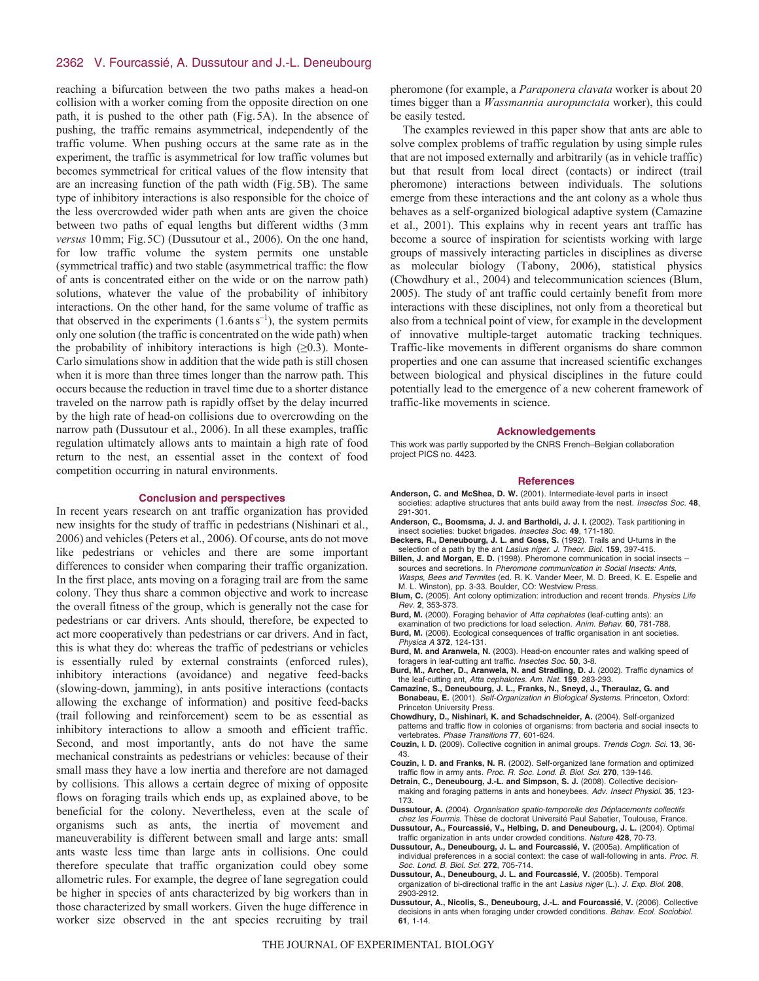# 2362 V. Fourcassié, A. Dussutour and J.-L. Deneubourg

reaching a bifurcation between the two paths makes a head-on collision with a worker coming from the opposite direction on one path, it is pushed to the other path (Fig.5A). In the absence of pushing, the traffic remains asymmetrical, independently of the traffic volume. When pushing occurs at the same rate as in the experiment, the traffic is asymmetrical for low traffic volumes but becomes symmetrical for critical values of the flow intensity that are an increasing function of the path width (Fig.5B). The same type of inhibitory interactions is also responsible for the choice of the less overcrowded wider path when ants are given the choice between two paths of equal lengths but different widths (3mm *versus* 10mm; Fig.5C) (Dussutour et al., 2006). On the one hand, for low traffic volume the system permits one unstable (symmetrical traffic) and two stable (asymmetrical traffic: the flow of ants is concentrated either on the wide or on the narrow path) solutions, whatever the value of the probability of inhibitory interactions. On the other hand, for the same volume of traffic as that observed in the experiments  $(1.6 \text{ants s}^{-1})$ , the system permits only one solution (the traffic is concentrated on the wide path) when the probability of inhibitory interactions is high  $(\geq 0.3)$ . Monte-Carlo simulations show in addition that the wide path is still chosen when it is more than three times longer than the narrow path. This occurs because the reduction in travel time due to a shorter distance traveled on the narrow path is rapidly offset by the delay incurred by the high rate of head-on collisions due to overcrowding on the narrow path (Dussutour et al., 2006). In all these examples, traffic regulation ultimately allows ants to maintain a high rate of food return to the nest, an essential asset in the context of food competition occurring in natural environments.

### **Conclusion and perspectives**

In recent years research on ant traffic organization has provided new insights for the study of traffic in pedestrians (Nishinari et al., 2006) and vehicles (Peters et al., 2006). Of course, ants do not move like pedestrians or vehicles and there are some important differences to consider when comparing their traffic organization. In the first place, ants moving on a foraging trail are from the same colony. They thus share a common objective and work to increase the overall fitness of the group, which is generally not the case for pedestrians or car drivers. Ants should, therefore, be expected to act more cooperatively than pedestrians or car drivers. And in fact, this is what they do: whereas the traffic of pedestrians or vehicles is essentially ruled by external constraints (enforced rules), inhibitory interactions (avoidance) and negative feed-backs (slowing-down, jamming), in ants positive interactions (contacts allowing the exchange of information) and positive feed-backs (trail following and reinforcement) seem to be as essential as inhibitory interactions to allow a smooth and efficient traffic. Second, and most importantly, ants do not have the same mechanical constraints as pedestrians or vehicles: because of their small mass they have a low inertia and therefore are not damaged by collisions. This allows a certain degree of mixing of opposite flows on foraging trails which ends up, as explained above, to be beneficial for the colony. Nevertheless, even at the scale of organisms such as ants, the inertia of movement and maneuverability is different between small and large ants: small ants waste less time than large ants in collisions. One could therefore speculate that traffic organization could obey some allometric rules. For example, the degree of lane segregation could be higher in species of ants characterized by big workers than in those characterized by small workers. Given the huge difference in worker size observed in the ant species recruiting by trail

pheromone (for example, a *Paraponera clavata* worker is about 20 times bigger than a *Wassmannia auropunctata* worker), this could be easily tested.

The examples reviewed in this paper show that ants are able to solve complex problems of traffic regulation by using simple rules that are not imposed externally and arbitrarily (as in vehicle traffic) but that result from local direct (contacts) or indirect (trail pheromone) interactions between individuals. The solutions emerge from these interactions and the ant colony as a whole thus behaves as a self-organized biological adaptive system (Camazine et al., 2001). This explains why in recent years ant traffic has become a source of inspiration for scientists working with large groups of massively interacting particles in disciplines as diverse as molecular biology (Tabony, 2006), statistical physics (Chowdhury et al., 2004) and telecommunication sciences (Blum, 2005). The study of ant traffic could certainly benefit from more interactions with these disciplines, not only from a theoretical but also from a technical point of view, for example in the development of innovative multiple-target automatic tracking techniques. Traffic-like movements in different organisms do share common properties and one can assume that increased scientific exchanges between biological and physical disciplines in the future could potentially lead to the emergence of a new coherent framework of traffic-like movements in science.

#### **Acknowledgements**

This work was partly supported by the CNRS French–Belgian collaboration project PICS no. 4423.

#### **References**

- **Anderson, C. and McShea, D. W.** (2001). Intermediate-level parts in insect societies: adaptive structures that ants build away from the nest. Insectes Soc. **48**, 291-301.
- **Anderson, C., Boomsma, J. J. and Bartholdi, J. J. I.** (2002). Task partitioning in insect societies: bucket brigades. Insectes Soc. **49**, 171-180.
- **Beckers, R., Deneubourg, J. L. and Goss, S.** (1992). Trails and U-turns in the selection of a path by the ant Lasius niger. J. Theor. Biol. **159**, 397-415.
- **Billen, J. and Morgan, E. D.** (1998). Pheromone communication in social insects sources and secretions. In Pheromone communication in Social Insects: Ants, Wasps, Bees and Termites (ed. R. K. Vander Meer, M. D. Breed, K. E. Espelie and M. L. Winston), pp. 3-33. Boulder, CO: Westview Press.
- **Blum, C.** (2005). Ant colony optimization: introduction and recent trends. Physics Life Rev. **2**, 353-373.
- **Burd, M.** (2000). Foraging behavior of Atta cephalotes (leaf-cutting ants): an
- examination of two predictions for load selection. Anim. Behav. **60**, 781-788. **Burd, M.** (2006). Ecological consequences of traffic organisation in ant societies.
- Physica A **372**, 124-131. **Burd, M. and Aranwela, N.** (2003). Head-on encounter rates and walking speed of
- foragers in leaf-cutting ant traffic. Insectes Soc. **50**, 3-8. **Burd, M., Archer, D., Aranwela, N. and Stradling, D. J.** (2002). Traffic dynamics of
- the leaf-cutting ant, Atta cephalotes. Am. Nat. **159**, 283-293.
- **Camazine, S., Deneubourg, J. L., Franks, N., Sneyd, J., Theraulaz, G. and Bonabeau, E.** (2001). Self-Organization in Biological Systems. Princeton, Oxford: Princeton University Press.
- **Chowdhury, D., Nishinari, K. and Schadschneider, A.** (2004). Self-organized patterns and traffic flow in colonies of organisms: from bacteria and social insects to vertebrates. Phase Transitions **77**, 601-624.
- **Couzin, I. D.** (2009). Collective cognition in animal groups. Trends Cogn. Sci. **13**, 36- 43.
- **Couzin, I. D. and Franks, N. R.** (2002). Self-organized lane formation and optimized traffic flow in army ants. Proc. R. Soc. Lond. B. Biol. Sci. **270**, 139-146.
- **Detrain, C., Deneubourg, J.-L. and Simpson, S. J.** (2008). Collective decisionmaking and foraging patterns in ants and honeybees. Adv. Insect Physiol. **35**, 123- 173.
- **Dussutour, A.** (2004). Organisation spatio-temporelle des Déplacements collectifs chez les Fourmis. Thèse de doctorat Université Paul Sabatier, Toulouse, France.
- **Dussutour, A., Fourcassié, V., Helbing, D. and Deneubourg, J. L.** (2004). Optimal traffic organization in ants under crowded conditions. Nature **428**, 70-73.
- **Dussutour, A., Deneubourg, J. L. and Fourcassié, V.** (2005a). Amplification of individual preferences in a social context: the case of wall-following in ants. Proc. R. Soc. Lond. B. Biol. Sci. **272**, 705-714.
- **Dussutour, A., Deneubourg, J. L. and Fourcassié, V.** (2005b). Temporal organization of bi-directional traffic in the ant Lasius niger (L.). J. Exp. Biol. **208**, 2903-2912.
- **Dussutour, A., Nicolis, S., Deneubourg, J.-L. and Fourcassié, V.** (2006). Collective decisions in ants when foraging under crowded conditions. Behav. Ecol. Sociobiol. **61**, 1-14.